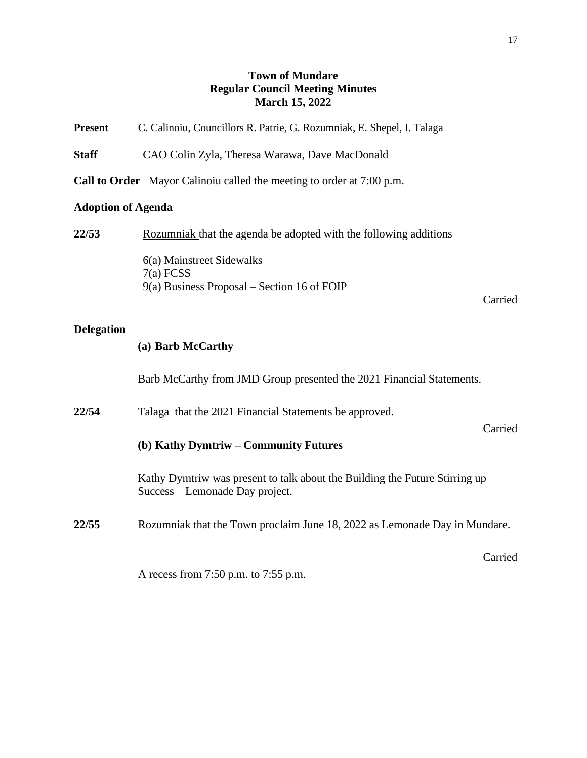## **Town of Mundare Regular Council Meeting Minutes March 15, 2022**

| Present |  | C. Calinoiu, Councillors R. Patrie, G. Rozumniak, E. Shepel, I. Talaga |  |  |  |  |
|---------|--|------------------------------------------------------------------------|--|--|--|--|
|---------|--|------------------------------------------------------------------------|--|--|--|--|

**Staff** CAO Colin Zyla, Theresa Warawa, Dave MacDonald

**Call to Order** Mayor Calinoiu called the meeting to order at 7:00 p.m.

#### **Adoption of Agenda**

**22/53** Rozumniak that the agenda be adopted with the following additions

6(a) Mainstreet Sidewalks 7(a) FCSS 9(a) Business Proposal – Section 16 of FOIP

Carried

#### **Delegation**

#### **(a) Barb McCarthy**

Barb McCarthy from JMD Group presented the 2021 Financial Statements.

**22/54** Talaga that the 2021 Financial Statements be approved.

Carried

Carried

### **(b) Kathy Dymtriw – Community Futures**

Kathy Dymtriw was present to talk about the Building the Future Stirring up Success – Lemonade Day project.

**22/55** Rozumniak that the Town proclaim June 18, 2022 as Lemonade Day in Mundare.

A recess from 7:50 p.m. to 7:55 p.m.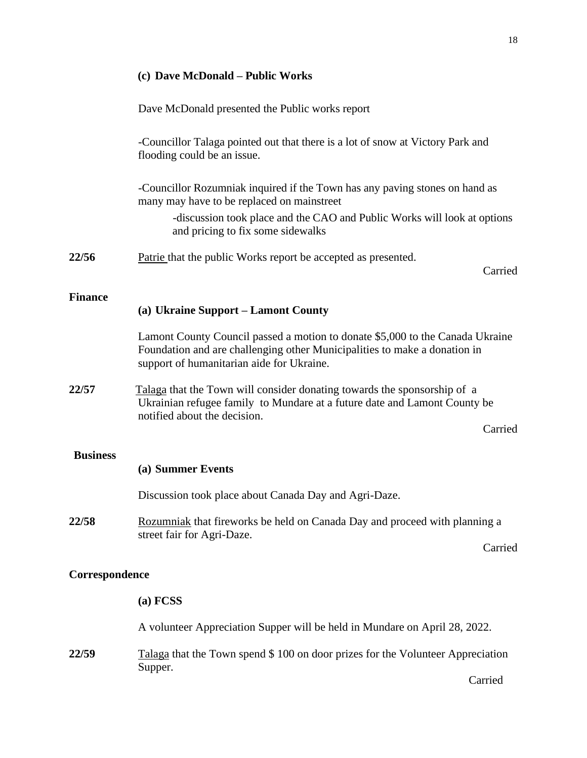# **(c) Dave McDonald – Public Works**  Dave McDonald presented the Public works report -Councillor Talaga pointed out that there is a lot of snow at Victory Park and flooding could be an issue. -Councillor Rozumniak inquired if the Town has any paving stones on hand as many may have to be replaced on mainstreet -discussion took place and the CAO and Public Works will look at options and pricing to fix some sidewalks **22/56** Patrie that the public Works report be accepted as presented. Carried **Finance (a) Ukraine Support – Lamont County**  Lamont County Council passed a motion to donate \$5,000 to the Canada Ukraine Foundation and are challenging other Municipalities to make a donation in support of humanitarian aide for Ukraine. **22/57** Talaga that the Town will consider donating towards the sponsorship of a Ukrainian refugee family to Mundare at a future date and Lamont County be notified about the decision. Carried **Business (a) Summer Events**  Discussion took place about Canada Day and Agri-Daze. **22/58** Rozumniak that fireworks be held on Canada Day and proceed with planning a street fair for Agri-Daze. Carried **Correspondence**

**(a) FCSS** A volunteer Appreciation Supper will be held in Mundare on April 28, 2022. **22/59** Talaga that the Town spend \$ 100 on door prizes for the Volunteer Appreciation Supper. Carried